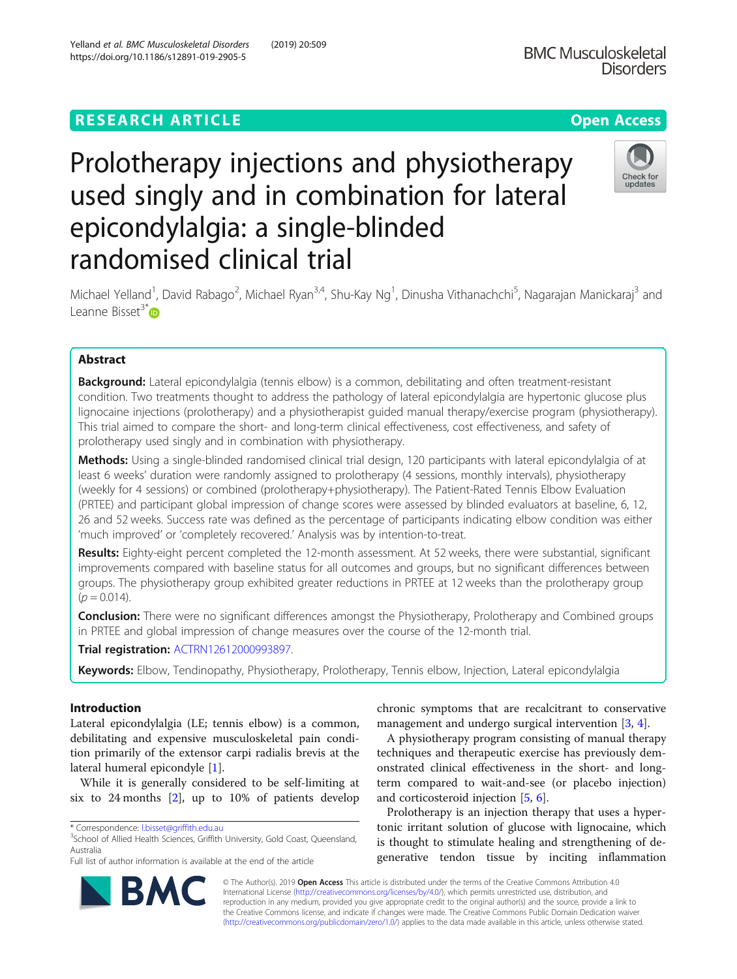https://doi.org/10.1186/s12891-019-2905-5

## **RESEARCH ARTICLE Example 2014 12:30 The Contract of Contract ACCESS**

# Prolotherapy injections and physiotherapy used singly and in combination for lateral epicondylalgia: a single-blinded randomised clinical trial



Michael Yelland<sup>1</sup>, David Rabago<sup>2</sup>, Michael Ryan<sup>3,4</sup>, Shu-Kay Ng<sup>1</sup>, Dinusha Vithanachchi<sup>5</sup>, Nagarajan Manickaraj<sup>3</sup> and Leanne Bisset<sup>3[\\*](http://orcid.org/0000-0001-8807-7093)</sup>

## Abstract

**Background:** Lateral epicondylalgia (tennis elbow) is a common, debilitating and often treatment-resistant condition. Two treatments thought to address the pathology of lateral epicondylalgia are hypertonic glucose plus lignocaine injections (prolotherapy) and a physiotherapist guided manual therapy/exercise program (physiotherapy). This trial aimed to compare the short- and long-term clinical effectiveness, cost effectiveness, and safety of prolotherapy used singly and in combination with physiotherapy.

Methods: Using a single-blinded randomised clinical trial design, 120 participants with lateral epicondylalgia of at least 6 weeks' duration were randomly assigned to prolotherapy (4 sessions, monthly intervals), physiotherapy (weekly for 4 sessions) or combined (prolotherapy+physiotherapy). The Patient-Rated Tennis Elbow Evaluation (PRTEE) and participant global impression of change scores were assessed by blinded evaluators at baseline, 6, 12, 26 and 52 weeks. Success rate was defined as the percentage of participants indicating elbow condition was either 'much improved' or 'completely recovered.' Analysis was by intention-to-treat.

Results: Eighty-eight percent completed the 12-month assessment. At 52 weeks, there were substantial, significant improvements compared with baseline status for all outcomes and groups, but no significant differences between groups. The physiotherapy group exhibited greater reductions in PRTEE at 12 weeks than the prolotherapy group  $(p = 0.014)$ .

**Conclusion:** There were no significant differences amongst the Physiotherapy, Prolotherapy and Combined groups in PRTEE and global impression of change measures over the course of the 12-month trial.

Trial registration: [ACTRN12612000993897](https://anzctr.org.au/Trial/Registration/TrialReview.aspx?id=363012&isReview=true).

Keywords: Elbow, Tendinopathy, Physiotherapy, Prolotherapy, Tennis elbow, Injection, Lateral epicondylalgia

## Introduction

Lateral epicondylalgia (LE; tennis elbow) is a common, debilitating and expensive musculoskeletal pain condition primarily of the extensor carpi radialis brevis at the lateral humeral epicondyle [\[1](#page-8-0)].

While it is generally considered to be self-limiting at six to 24 months  $[2]$  $[2]$ , up to 10% of patients develop

RA



A physiotherapy program consisting of manual therapy techniques and therapeutic exercise has previously demonstrated clinical effectiveness in the short- and longterm compared to wait-and-see (or placebo injection) and corticosteroid injection [[5](#page-8-0), [6](#page-8-0)].

Prolotherapy is an injection therapy that uses a hypertonic irritant solution of glucose with lignocaine, which is thought to stimulate healing and strengthening of degenerative tendon tissue by inciting inflammation



<sup>\*</sup> Correspondence: [l.bisset@griffith.edu.au](mailto:l.bisset@griffith.edu.au) <sup>3</sup>

<sup>&</sup>lt;sup>3</sup>School of Allied Health Sciences, Griffith University, Gold Coast, Queensland, Australia

Full list of author information is available at the end of the article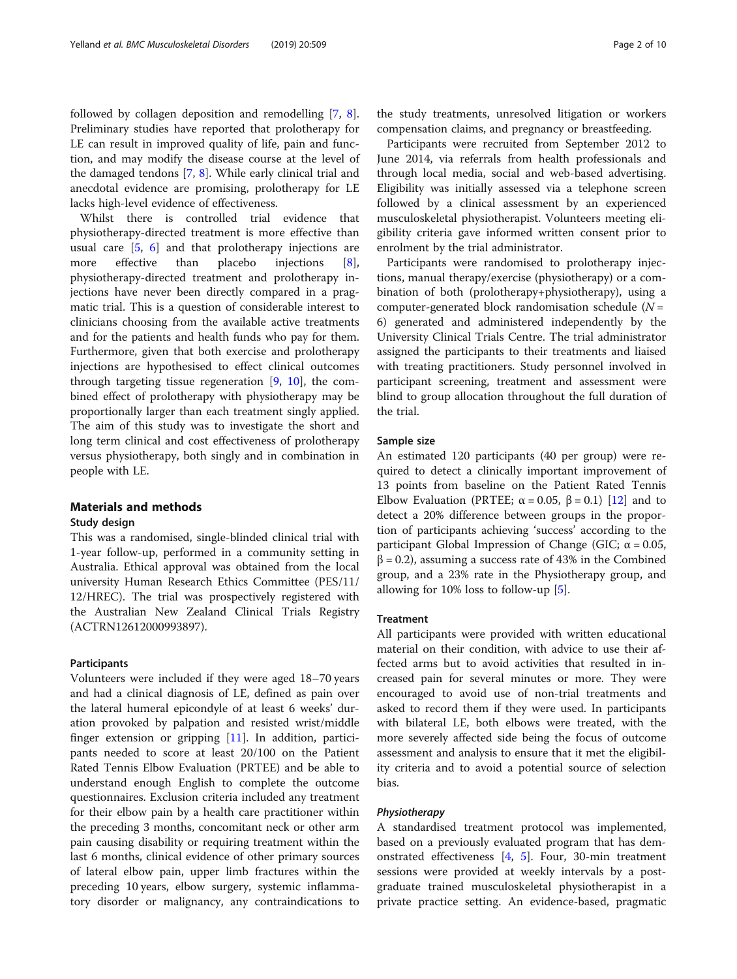followed by collagen deposition and remodelling [\[7,](#page-9-0) [8](#page-9-0)]. Preliminary studies have reported that prolotherapy for LE can result in improved quality of life, pain and function, and may modify the disease course at the level of the damaged tendons [[7,](#page-9-0) [8\]](#page-9-0). While early clinical trial and anecdotal evidence are promising, prolotherapy for LE lacks high-level evidence of effectiveness.

Whilst there is controlled trial evidence that physiotherapy-directed treatment is more effective than usual care [[5,](#page-8-0) [6\]](#page-8-0) and that prolotherapy injections are more effective than placebo injections [\[8](#page-9-0)], physiotherapy-directed treatment and prolotherapy injections have never been directly compared in a pragmatic trial. This is a question of considerable interest to clinicians choosing from the available active treatments and for the patients and health funds who pay for them. Furthermore, given that both exercise and prolotherapy injections are hypothesised to effect clinical outcomes through targeting tissue regeneration  $[9, 10]$  $[9, 10]$  $[9, 10]$  $[9, 10]$  $[9, 10]$ , the combined effect of prolotherapy with physiotherapy may be proportionally larger than each treatment singly applied. The aim of this study was to investigate the short and long term clinical and cost effectiveness of prolotherapy versus physiotherapy, both singly and in combination in people with LE.

## Materials and methods

## Study design

This was a randomised, single-blinded clinical trial with 1-year follow-up, performed in a community setting in Australia. Ethical approval was obtained from the local university Human Research Ethics Committee (PES/11/ 12/HREC). The trial was prospectively registered with the Australian New Zealand Clinical Trials Registry (ACTRN12612000993897).

## Participants

Volunteers were included if they were aged 18–70 years and had a clinical diagnosis of LE, defined as pain over the lateral humeral epicondyle of at least 6 weeks' duration provoked by palpation and resisted wrist/middle finger extension or gripping [[11\]](#page-9-0). In addition, participants needed to score at least 20/100 on the Patient Rated Tennis Elbow Evaluation (PRTEE) and be able to understand enough English to complete the outcome questionnaires. Exclusion criteria included any treatment for their elbow pain by a health care practitioner within the preceding 3 months, concomitant neck or other arm pain causing disability or requiring treatment within the last 6 months, clinical evidence of other primary sources of lateral elbow pain, upper limb fractures within the preceding 10 years, elbow surgery, systemic inflammatory disorder or malignancy, any contraindications to

the study treatments, unresolved litigation or workers compensation claims, and pregnancy or breastfeeding.

Participants were recruited from September 2012 to June 2014, via referrals from health professionals and through local media, social and web-based advertising. Eligibility was initially assessed via a telephone screen followed by a clinical assessment by an experienced musculoskeletal physiotherapist. Volunteers meeting eligibility criteria gave informed written consent prior to enrolment by the trial administrator.

Participants were randomised to prolotherapy injections, manual therapy/exercise (physiotherapy) or a combination of both (prolotherapy+physiotherapy), using a computer-generated block randomisation schedule  $(N =$ 6) generated and administered independently by the University Clinical Trials Centre. The trial administrator assigned the participants to their treatments and liaised with treating practitioners. Study personnel involved in participant screening, treatment and assessment were blind to group allocation throughout the full duration of the trial.

## Sample size

An estimated 120 participants (40 per group) were required to detect a clinically important improvement of 13 points from baseline on the Patient Rated Tennis Elbow Evaluation (PRTEE;  $\alpha = 0.05$ ,  $\beta = 0.1$ ) [\[12](#page-9-0)] and to detect a 20% difference between groups in the proportion of participants achieving 'success' according to the participant Global Impression of Change (GIC; α = 0.05,  $\beta$  = 0.2), assuming a success rate of 43% in the Combined group, and a 23% rate in the Physiotherapy group, and allowing for 10% loss to follow-up [[5\]](#page-8-0).

## **Treatment**

All participants were provided with written educational material on their condition, with advice to use their affected arms but to avoid activities that resulted in increased pain for several minutes or more. They were encouraged to avoid use of non-trial treatments and asked to record them if they were used. In participants with bilateral LE, both elbows were treated, with the more severely affected side being the focus of outcome assessment and analysis to ensure that it met the eligibility criteria and to avoid a potential source of selection bias.

## Physiotherapy

A standardised treatment protocol was implemented, based on a previously evaluated program that has demonstrated effectiveness [\[4](#page-8-0), [5\]](#page-8-0). Four, 30-min treatment sessions were provided at weekly intervals by a postgraduate trained musculoskeletal physiotherapist in a private practice setting. An evidence-based, pragmatic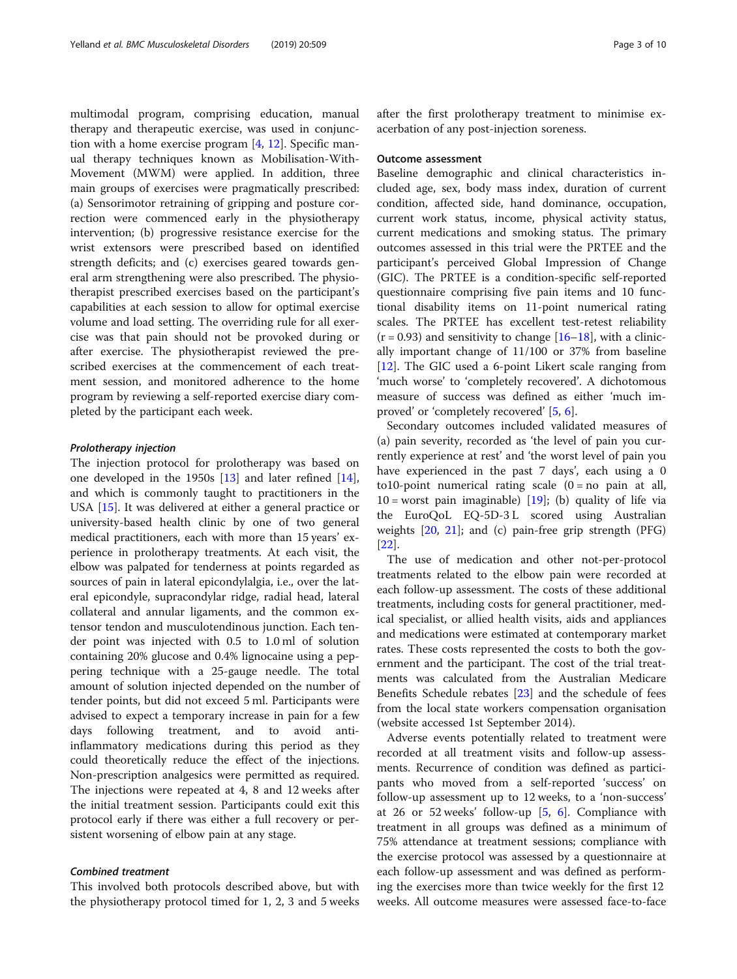multimodal program, comprising education, manual therapy and therapeutic exercise, was used in conjunction with a home exercise program [[4](#page-8-0), [12](#page-9-0)]. Specific manual therapy techniques known as Mobilisation-With-Movement (MWM) were applied. In addition, three main groups of exercises were pragmatically prescribed: (a) Sensorimotor retraining of gripping and posture correction were commenced early in the physiotherapy intervention; (b) progressive resistance exercise for the wrist extensors were prescribed based on identified strength deficits; and (c) exercises geared towards general arm strengthening were also prescribed. The physiotherapist prescribed exercises based on the participant's capabilities at each session to allow for optimal exercise volume and load setting. The overriding rule for all exercise was that pain should not be provoked during or after exercise. The physiotherapist reviewed the prescribed exercises at the commencement of each treatment session, and monitored adherence to the home program by reviewing a self-reported exercise diary completed by the participant each week.

#### Prolotherapy injection

The injection protocol for prolotherapy was based on one developed in the 1950s [[13\]](#page-9-0) and later refined [\[14](#page-9-0)], and which is commonly taught to practitioners in the USA [\[15](#page-9-0)]. It was delivered at either a general practice or university-based health clinic by one of two general medical practitioners, each with more than 15 years' experience in prolotherapy treatments. At each visit, the elbow was palpated for tenderness at points regarded as sources of pain in lateral epicondylalgia, i.e., over the lateral epicondyle, supracondylar ridge, radial head, lateral collateral and annular ligaments, and the common extensor tendon and musculotendinous junction. Each tender point was injected with 0.5 to 1.0 ml of solution containing 20% glucose and 0.4% lignocaine using a peppering technique with a 25-gauge needle. The total amount of solution injected depended on the number of tender points, but did not exceed 5 ml. Participants were advised to expect a temporary increase in pain for a few days following treatment, and to avoid antiinflammatory medications during this period as they could theoretically reduce the effect of the injections. Non-prescription analgesics were permitted as required. The injections were repeated at 4, 8 and 12 weeks after the initial treatment session. Participants could exit this protocol early if there was either a full recovery or persistent worsening of elbow pain at any stage.

## Combined treatment

This involved both protocols described above, but with the physiotherapy protocol timed for 1, 2, 3 and 5 weeks after the first prolotherapy treatment to minimise exacerbation of any post-injection soreness.

#### Outcome assessment

Baseline demographic and clinical characteristics included age, sex, body mass index, duration of current condition, affected side, hand dominance, occupation, current work status, income, physical activity status, current medications and smoking status. The primary outcomes assessed in this trial were the PRTEE and the participant's perceived Global Impression of Change (GIC). The PRTEE is a condition-specific self-reported questionnaire comprising five pain items and 10 functional disability items on 11-point numerical rating scales. The PRTEE has excellent test-retest reliability  $(r = 0.93)$  and sensitivity to change  $[16-18]$  $[16-18]$  $[16-18]$ , with a clinically important change of 11/100 or 37% from baseline [[12\]](#page-9-0). The GIC used a 6-point Likert scale ranging from 'much worse' to 'completely recovered'. A dichotomous measure of success was defined as either 'much improved' or 'completely recovered' [[5](#page-8-0), [6](#page-8-0)].

Secondary outcomes included validated measures of (a) pain severity, recorded as 'the level of pain you currently experience at rest' and 'the worst level of pain you have experienced in the past 7 days', each using a 0 to10-point numerical rating scale  $(0 = no$  pain at all,  $10 =$  worst pain imaginable) [\[19\]](#page-9-0); (b) quality of life via the EuroQoL EQ-5D-3 L scored using Australian weights [\[20](#page-9-0), [21\]](#page-9-0); and (c) pain-free grip strength (PFG) [[22\]](#page-9-0).

The use of medication and other not-per-protocol treatments related to the elbow pain were recorded at each follow-up assessment. The costs of these additional treatments, including costs for general practitioner, medical specialist, or allied health visits, aids and appliances and medications were estimated at contemporary market rates. These costs represented the costs to both the government and the participant. The cost of the trial treatments was calculated from the Australian Medicare Benefits Schedule rebates [\[23](#page-9-0)] and the schedule of fees from the local state workers compensation organisation (website accessed 1st September 2014).

Adverse events potentially related to treatment were recorded at all treatment visits and follow-up assessments. Recurrence of condition was defined as participants who moved from a self-reported 'success' on follow-up assessment up to 12 weeks, to a 'non-success' at 26 or 52 weeks' follow-up [\[5](#page-8-0), [6\]](#page-8-0). Compliance with treatment in all groups was defined as a minimum of 75% attendance at treatment sessions; compliance with the exercise protocol was assessed by a questionnaire at each follow-up assessment and was defined as performing the exercises more than twice weekly for the first 12 weeks. All outcome measures were assessed face-to-face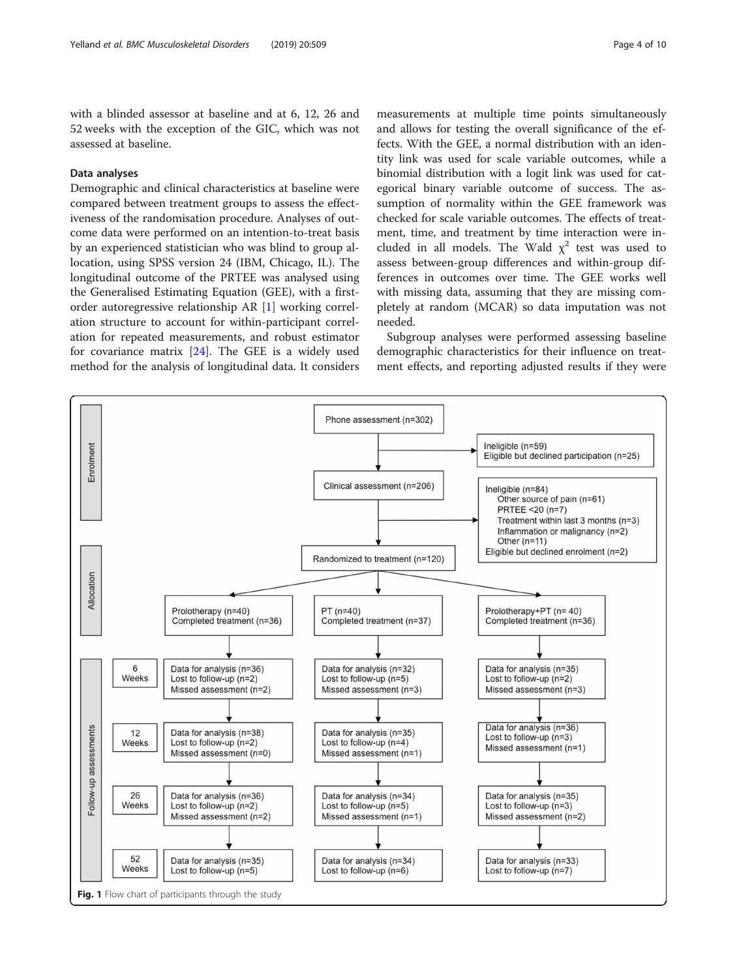<span id="page-3-0"></span>with a blinded assessor at baseline and at 6, 12, 26 and 52 weeks with the exception of the GIC, which was not assessed at baseline.

## Data analyses

Demographic and clinical characteristics at baseline were compared between treatment groups to assess the effectiveness of the randomisation procedure. Analyses of outcome data were performed on an intention-to-treat basis by an experienced statistician who was blind to group allocation, using SPSS version 24 (IBM, Chicago, IL). The longitudinal outcome of the PRTEE was analysed using the Generalised Estimating Equation (GEE), with a firstorder autoregressive relationship AR [[1\]](#page-8-0) working correlation structure to account for within-participant correlation for repeated measurements, and robust estimator for covariance matrix [\[24\]](#page-9-0). The GEE is a widely used method for the analysis of longitudinal data. It considers

measurements at multiple time points simultaneously and allows for testing the overall significance of the effects. With the GEE, a normal distribution with an identity link was used for scale variable outcomes, while a binomial distribution with a logit link was used for categorical binary variable outcome of success. The assumption of normality within the GEE framework was checked for scale variable outcomes. The effects of treatment, time, and treatment by time interaction were included in all models. The Wald  $\chi^2$  test was used to assess between-group differences and within-group differences in outcomes over time. The GEE works well with missing data, assuming that they are missing completely at random (MCAR) so data imputation was not needed.

Subgroup analyses were performed assessing baseline demographic characteristics for their influence on treatment effects, and reporting adjusted results if they were

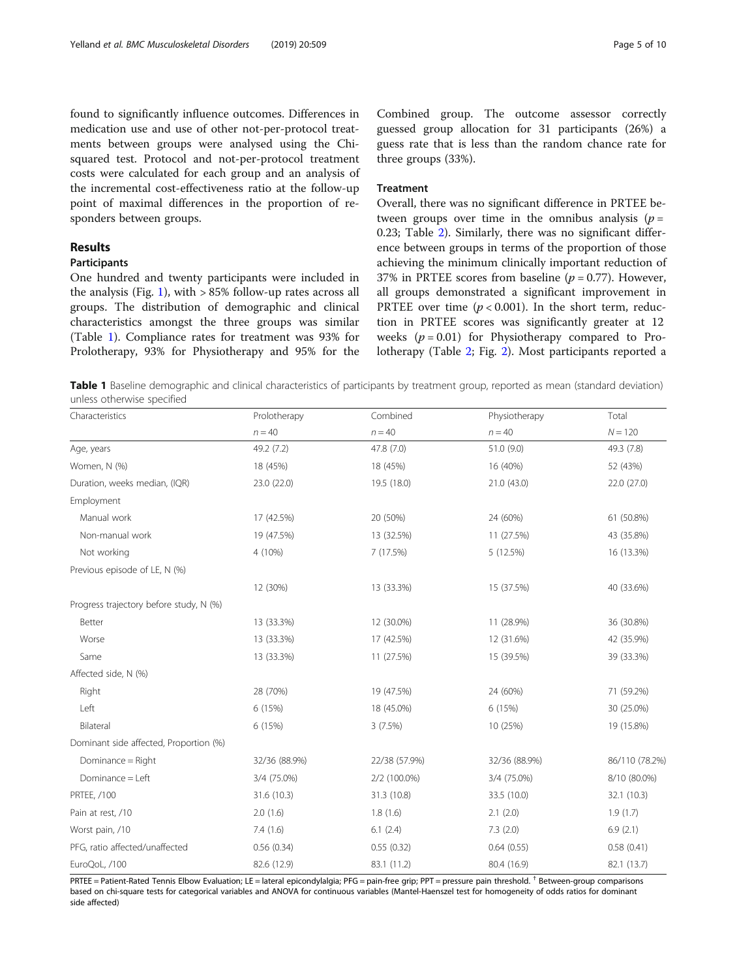found to significantly influence outcomes. Differences in medication use and use of other not-per-protocol treatments between groups were analysed using the Chisquared test. Protocol and not-per-protocol treatment costs were calculated for each group and an analysis of the incremental cost-effectiveness ratio at the follow-up point of maximal differences in the proportion of responders between groups.

## Results

## Participants

One hundred and twenty participants were included in the analysis (Fig. [1](#page-3-0)), with  $> 85\%$  follow-up rates across all groups. The distribution of demographic and clinical characteristics amongst the three groups was similar (Table 1). Compliance rates for treatment was 93% for Prolotherapy, 93% for Physiotherapy and 95% for the

Combined group. The outcome assessor correctly guessed group allocation for 31 participants (26%) a guess rate that is less than the random chance rate for three groups (33%).

## Treatment

Overall, there was no significant difference in PRTEE between groups over time in the omnibus analysis ( $p =$ 0.23; Table [2](#page-5-0)). Similarly, there was no significant difference between groups in terms of the proportion of those achieving the minimum clinically important reduction of 37% in PRTEE scores from baseline ( $p = 0.77$ ). However, all groups demonstrated a significant improvement in PRTEE over time ( $p < 0.001$ ). In the short term, reduction in PRTEE scores was significantly greater at 12 weeks  $(p = 0.01)$  for Physiotherapy compared to Prolotherapy (Table [2](#page-5-0); Fig. [2](#page-6-0)). Most participants reported a

Table 1 Baseline demographic and clinical characteristics of participants by treatment group, reported as mean (standard deviation) unless otherwise specified

| Characteristics                         | Prolotherapy  | Combined      | Physiotherapy | Total          |
|-----------------------------------------|---------------|---------------|---------------|----------------|
|                                         | $n = 40$      | $n = 40$      | $n = 40$      | $N = 120$      |
| Age, years                              | 49.2 (7.2)    | 47.8 (7.0)    | 51.0 (9.0)    | 49.3 (7.8)     |
| Women, N (%)                            | 18 (45%)      | 18 (45%)      | 16 (40%)      | 52 (43%)       |
| Duration, weeks median, (IQR)           | 23.0 (22.0)   | 19.5 (18.0)   | 21.0 (43.0)   | 22.0 (27.0)    |
| Employment                              |               |               |               |                |
| Manual work                             | 17 (42.5%)    | 20 (50%)      | 24 (60%)      | 61 (50.8%)     |
| Non-manual work                         | 19 (47.5%)    | 13 (32.5%)    | 11 (27.5%)    | 43 (35.8%)     |
| Not working                             | 4 (10%)       | 7 (17.5%)     | 5 (12.5%)     | 16 (13.3%)     |
| Previous episode of LE, N (%)           |               |               |               |                |
|                                         | 12 (30%)      | 13 (33.3%)    | 15 (37.5%)    | 40 (33.6%)     |
| Progress trajectory before study, N (%) |               |               |               |                |
| Better                                  | 13 (33.3%)    | 12 (30.0%)    | 11 (28.9%)    | 36 (30.8%)     |
| Worse                                   | 13 (33.3%)    | 17 (42.5%)    | 12 (31.6%)    | 42 (35.9%)     |
| Same                                    | 13 (33.3%)    | 11 (27.5%)    | 15 (39.5%)    | 39 (33.3%)     |
| Affected side, N (%)                    |               |               |               |                |
| Right                                   | 28 (70%)      | 19 (47.5%)    | 24 (60%)      | 71 (59.2%)     |
| Left                                    | 6 (15%)       | 18 (45.0%)    | 6 (15%)       | 30 (25.0%)     |
| Bilateral                               | 6 (15%)       | 3(7.5%)       | 10 (25%)      | 19 (15.8%)     |
| Dominant side affected, Proportion (%)  |               |               |               |                |
| Dominance = Right                       | 32/36 (88.9%) | 22/38 (57.9%) | 32/36 (88.9%) | 86/110 (78.2%) |
| Dominance = Left                        | 3/4 (75.0%)   | 2/2 (100.0%)  | 3/4 (75.0%)   | 8/10 (80.0%)   |
| PRTEE, /100                             | 31.6 (10.3)   | 31.3 (10.8)   | 33.5 (10.0)   | 32.1 (10.3)    |
| Pain at rest, /10                       | 2.0(1.6)      | 1.8(1.6)      | 2.1(2.0)      | 1.9(1.7)       |
| Worst pain, /10                         | 7.4(1.6)      | 6.1(2.4)      | 7.3(2.0)      | 6.9(2.1)       |
| PFG, ratio affected/unaffected          | 0.56(0.34)    | 0.55(0.32)    | 0.64(0.55)    | 0.58(0.41)     |
| EuroQoL, /100                           | 82.6 (12.9)   | 83.1 (11.2)   | 80.4 (16.9)   | 82.1 (13.7)    |

PRTEE = Patient-Rated Tennis Elbow Evaluation; LE = lateral epicondylalgia; PFG = pain-free grip; PPT = pressure pain threshold. † Between-group comparisons based on chi-square tests for categorical variables and ANOVA for continuous variables (Mantel-Haenszel test for homogeneity of odds ratios for dominant side affected)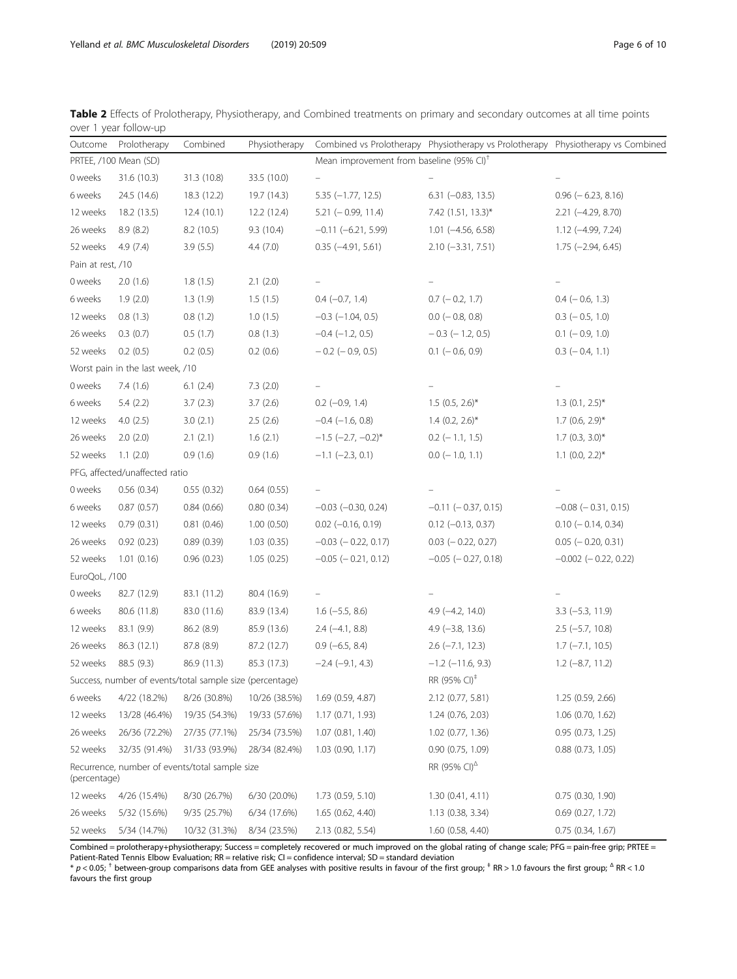<span id="page-5-0"></span>

| Table 2 Effects of Prolotherapy, Physiotherapy, and Combined treatments on primary and secondary outcomes at all time points |  |  |  |  |  |  |
|------------------------------------------------------------------------------------------------------------------------------|--|--|--|--|--|--|
| over 1 year follow-up                                                                                                        |  |  |  |  |  |  |

| Outcome                                                  | Prolotherapy                                                                  | Combined      | Physiotherapy |                             | Combined vs Prolotherapy Physiotherapy vs Prolotherapy Physiotherapy vs Combined |                            |  |
|----------------------------------------------------------|-------------------------------------------------------------------------------|---------------|---------------|-----------------------------|----------------------------------------------------------------------------------|----------------------------|--|
|                                                          | Mean improvement from baseline (95% CI) <sup>+</sup><br>PRTEE, /100 Mean (SD) |               |               |                             |                                                                                  |                            |  |
| 0 weeks                                                  | 31.6 (10.3)                                                                   | 31.3 (10.8)   | 33.5 (10.0)   | $\equiv$                    |                                                                                  |                            |  |
| 6 weeks                                                  | 24.5 (14.6)                                                                   | 18.3 (12.2)   | 19.7 (14.3)   | $5.35 (-1.77, 12.5)$        | $6.31 (-0.83, 13.5)$                                                             | $0.96$ ( $-6.23$ , 8.16)   |  |
| 12 weeks                                                 | 18.2 (13.5)                                                                   | 12.4(10.1)    | 12.2 (12.4)   | $5.21 (-0.99, 11.4)$        | 7.42 (1.51, 13.3)*                                                               | 2.21 (-4.29, 8.70)         |  |
| 26 weeks                                                 | 8.9(8.2)                                                                      | 8.2(10.5)     | 9.3(10.4)     | $-0.11 (-6.21, 5.99)$       | $1.01$ (-4.56, 6.58)                                                             | $1.12$ (-4.99, 7.24)       |  |
| 52 weeks                                                 | 4.9(7.4)                                                                      | 3.9(5.5)      | 4.4(7.0)      | $0.35$ ( $-4.91$ , $5.61$ ) | $2.10 (-3.31, 7.51)$                                                             | $1.75$ (-2.94, 6.45)       |  |
| Pain at rest, /10                                        |                                                                               |               |               |                             |                                                                                  |                            |  |
| 0 weeks                                                  | 2.0(1.6)                                                                      | 1.8(1.5)      | 2.1(2.0)      | $\overline{\phantom{0}}$    |                                                                                  |                            |  |
| 6 weeks                                                  | 1.9(2.0)                                                                      | 1.3(1.9)      | 1.5(1.5)      | $0.4 (-0.7, 1.4)$           | $0.7$ ( $-0.2$ , 1.7)                                                            | $0.4 (-0.6, 1.3)$          |  |
| 12 weeks                                                 | 0.8(1.3)                                                                      | 0.8(1.2)      | 1.0(1.5)      | $-0.3$ $(-1.04, 0.5)$       | $0.0$ ( $-0.8$ , 0.8)                                                            | $0.3$ ( $-0.5$ , 1.0)      |  |
| 26 weeks                                                 | 0.3(0.7)                                                                      | 0.5(1.7)      | 0.8(1.3)      | $-0.4$ $(-1.2, 0.5)$        | $-0.3$ ( $-1.2$ , 0.5)                                                           | $0.1$ (-0.9, 1.0)          |  |
| 52 weeks                                                 | 0.2(0.5)                                                                      | 0.2(0.5)      | 0.2(0.6)      | $-0.2$ ( $-0.9$ , 0.5)      | $0.1$ (-0.6, 0.9)                                                                | $0.3$ ( $-0.4$ , 1.1)      |  |
| Worst pain in the last week, /10                         |                                                                               |               |               |                             |                                                                                  |                            |  |
| 0 weeks                                                  | 7.4(1.6)                                                                      | 6.1(2.4)      | 7.3(2.0)      | $\overline{\phantom{0}}$    |                                                                                  |                            |  |
| 6 weeks                                                  | 5.4(2.2)                                                                      | 3.7(2.3)      | 3.7(2.6)      | $0.2$ (-0.9, 1.4)           | $1.5$ (0.5, 2.6)*                                                                | $1.3$ (0.1, 2.5)*          |  |
| 12 weeks                                                 | 4.0(2.5)                                                                      | 3.0(2.1)      | 2.5(2.6)      | $-0.4$ ( $-1.6$ , 0.8)      | $1.4$ (0.2, 2.6) <sup>*</sup>                                                    | $1.7$ (0.6, 2.9)*          |  |
| 26 weeks                                                 | 2.0(2.0)                                                                      | 2.1(2.1)      | 1.6(2.1)      | $-1.5$ (-2.7, -0.2)*        | $0.2$ (-1.1, 1.5)                                                                | $1.7$ (0.3, 3.0)*          |  |
| 52 weeks                                                 | 1.1(2.0)                                                                      | 0.9(1.6)      | 0.9(1.6)      | $-1.1$ $(-2.3, 0.1)$        | $0.0$ (-1.0, 1.1)                                                                | $1.1$ (0.0, 2.2)*          |  |
|                                                          | PFG, affected/unaffected ratio                                                |               |               |                             |                                                                                  |                            |  |
| 0 weeks                                                  | 0.56(0.34)                                                                    | 0.55(0.32)    | 0.64(0.55)    |                             |                                                                                  |                            |  |
| 6 weeks                                                  | 0.87(0.57)                                                                    | 0.84(0.66)    | 0.80(0.34)    | $-0.03$ $(-0.30, 0.24)$     | $-0.11$ $(-0.37, 0.15)$                                                          | $-0.08$ ( $-0.31$ , 0.15)  |  |
| 12 weeks                                                 | 0.79(0.31)                                                                    | 0.81(0.46)    | 1.00(0.50)    | $0.02$ (-0.16, 0.19)        | $0.12$ (-0.13, 0.37)                                                             | $0.10 (-0.14, 0.34)$       |  |
| 26 weeks                                                 | 0.92(0.23)                                                                    | 0.89(0.39)    | 1.03(0.35)    | $-0.03$ ( $-0.22$ , 0.17)   | $0.03$ ( $-0.22$ , 0.27)                                                         | $0.05$ ( $-0.20, 0.31$ )   |  |
| 52 weeks                                                 | 1.01(0.16)                                                                    | 0.96(0.23)    | 1.05(0.25)    | $-0.05$ ( $-0.21$ , 0.12)   | $-0.05$ ( $-0.27, 0.18$ )                                                        | $-0.002$ ( $-0.22$ , 0.22) |  |
| EuroQoL, /100                                            |                                                                               |               |               |                             |                                                                                  |                            |  |
| 0 weeks                                                  | 82.7 (12.9)                                                                   | 83.1 (11.2)   | 80.4 (16.9)   | $\overline{\phantom{0}}$    |                                                                                  |                            |  |
| 6 weeks                                                  | 80.6 (11.8)                                                                   | 83.0 (11.6)   | 83.9 (13.4)   | $1.6$ (-5.5, 8.6)           | $4.9$ ( $-4.2$ , 14.0)                                                           | $3.3$ (-5.3, 11.9)         |  |
| 12 weeks                                                 | 83.1 (9.9)                                                                    | 86.2 (8.9)    | 85.9 (13.6)   | $2.4 (-4.1, 8.8)$           | $4.9$ ( $-3.8$ , 13.6)                                                           | $2.5$ (-5.7, 10.8)         |  |
| 26 weeks                                                 | 86.3 (12.1)                                                                   | 87.8 (8.9)    | 87.2 (12.7)   | $0.9$ (-6.5, 8.4)           | $2.6$ ( $-7.1$ , 12.3)                                                           | $1.7$ ( $-7.1$ , 10.5)     |  |
| 52 weeks                                                 | 88.5 (9.3)                                                                    | 86.9 (11.3)   | 85.3 (17.3)   | $-2.4$ ( $-9.1$ , 4.3)      | $-1.2$ ( $-11.6$ , 9.3)                                                          | $1.2$ (-8.7, 11.2)         |  |
| Success, number of events/total sample size (percentage) |                                                                               |               |               |                             | RR (95% CI) <sup>‡</sup>                                                         |                            |  |
| 6 weeks                                                  | 4/22 (18.2%)                                                                  | 8/26 (30.8%)  | 10/26 (38.5%) | 1.69(0.59, 4.87)            | 2.12 (0.77, 5.81)                                                                | 1.25(0.59, 2.66)           |  |
| 12 weeks                                                 | 13/28 (46.4%)                                                                 | 19/35 (54.3%) | 19/33 (57.6%) | 1.17 (0.71, 1.93)           | 1.24 (0.76, 2.03)                                                                | 1.06 (0.70, 1.62)          |  |
| 26 weeks                                                 | 26/36 (72.2%)                                                                 | 27/35 (77.1%) | 25/34 (73.5%) | $1.07$ $(0.81, 1.40)$       | $1.02$ (0.77, 1.36)                                                              | 0.95(0.73, 1.25)           |  |
| 52 weeks                                                 | 32/35 (91.4%)                                                                 | 31/33 (93.9%) | 28/34 (82.4%) | $1.03$ $(0.90, 1.17)$       | $0.90$ $(0.75, 1.09)$                                                            | $0.88$ $(0.73, 1.05)$      |  |
| (percentage)                                             | Recurrence, number of events/total sample size                                |               |               |                             | RR (95% CI) <sup><math>\triangle</math></sup>                                    |                            |  |
| 12 weeks                                                 | 4/26 (15.4%)                                                                  | 8/30 (26.7%)  | 6/30 (20.0%)  | 1.73 (0.59, 5.10)           | 1.30(0.41, 4.11)                                                                 | $0.75$ $(0.30, 1.90)$      |  |
| 26 weeks                                                 | 5/32 (15.6%)                                                                  | 9/35 (25.7%)  | 6/34 (17.6%)  | 1.65 (0.62, 4.40)           | 1.13(0.38, 3.34)                                                                 | $0.69$ $(0.27, 1.72)$      |  |
| 52 weeks                                                 | 5/34 (14.7%)                                                                  | 10/32 (31.3%) | 8/34 (23.5%)  | 2.13 (0.82, 5.54)           | 1.60 (0.58, 4.40)                                                                | $0.75$ (0.34, 1.67)        |  |

Combined = prolotherapy+physiotherapy; Success = completely recovered or much improved on the global rating of change scale; PFG = pain-free grip; PRTEE = Patient-Rated Tennis Elbow Evaluation; RR = relative risk; CI = confidence interval; SD = standard deviation

 $^*$  p < 0.05;  $^\dagger$  between-group comparisons data from GEE analyses with positive results in favour of the first group;  $^*$  RR > 1.0 favours the first group;  $^{\Delta}$  RR < 1.0 favours the first group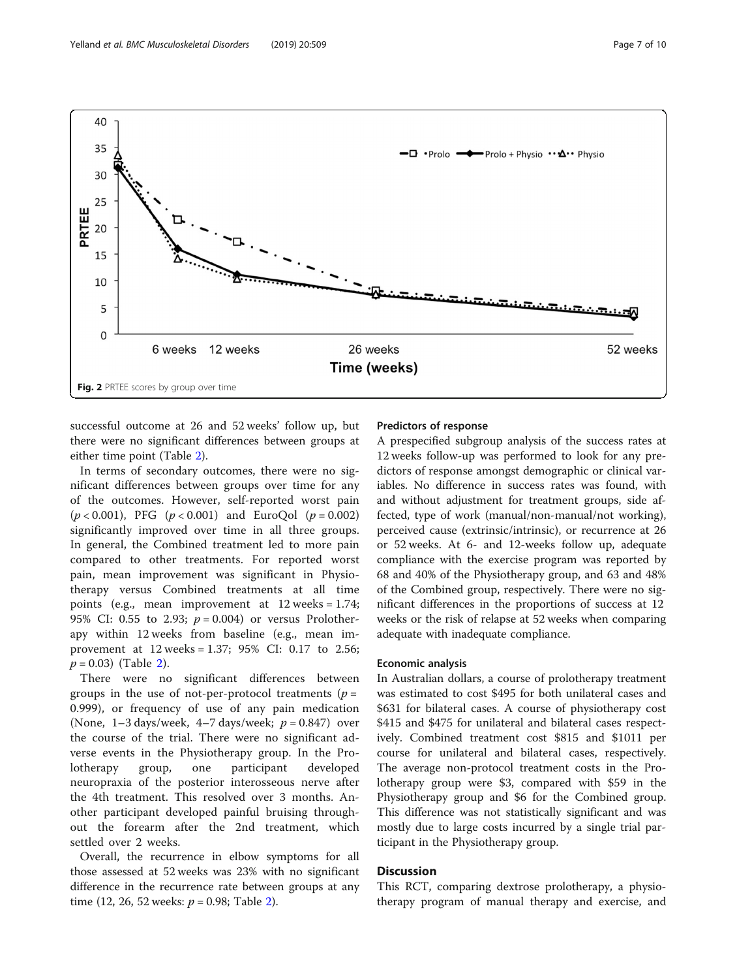<span id="page-6-0"></span>

successful outcome at 26 and 52 weeks' follow up, but there were no significant differences between groups at either time point (Table [2\)](#page-5-0).

In terms of secondary outcomes, there were no significant differences between groups over time for any of the outcomes. However, self-reported worst pain  $(p < 0.001)$ , PFG  $(p < 0.001)$  and EuroQol  $(p = 0.002)$ significantly improved over time in all three groups. In general, the Combined treatment led to more pain compared to other treatments. For reported worst pain, mean improvement was significant in Physiotherapy versus Combined treatments at all time points (e.g., mean improvement at 12 weeks = 1.74; 95% CI: 0.55 to 2.93;  $p = 0.004$ ) or versus Prolotherapy within 12 weeks from baseline (e.g., mean improvement at 12 weeks = 1.37; 95% CI: 0.17 to 2.56;  $p = 0.03$ ) (Table [2\)](#page-5-0).

There were no significant differences between groups in the use of not-per-protocol treatments ( $p =$ 0.999), or frequency of use of any pain medication (None,  $1-3$  days/week,  $4-7$  days/week;  $p = 0.847$ ) over the course of the trial. There were no significant adverse events in the Physiotherapy group. In the Prolotherapy group, one participant developed neuropraxia of the posterior interosseous nerve after the 4th treatment. This resolved over 3 months. Another participant developed painful bruising throughout the forearm after the 2nd treatment, which settled over 2 weeks.

Overall, the recurrence in elbow symptoms for all those assessed at 52 weeks was 23% with no significant difference in the recurrence rate between groups at any time (12, 26, 52 weeks:  $p = 0.98$ ; Table [2\)](#page-5-0).

## Predictors of response

A prespecified subgroup analysis of the success rates at 12 weeks follow-up was performed to look for any predictors of response amongst demographic or clinical variables. No difference in success rates was found, with and without adjustment for treatment groups, side affected, type of work (manual/non-manual/not working), perceived cause (extrinsic/intrinsic), or recurrence at 26 or 52 weeks. At 6- and 12-weeks follow up, adequate compliance with the exercise program was reported by 68 and 40% of the Physiotherapy group, and 63 and 48% of the Combined group, respectively. There were no significant differences in the proportions of success at 12 weeks or the risk of relapse at 52 weeks when comparing adequate with inadequate compliance.

## Economic analysis

In Australian dollars, a course of prolotherapy treatment was estimated to cost \$495 for both unilateral cases and \$631 for bilateral cases. A course of physiotherapy cost \$415 and \$475 for unilateral and bilateral cases respectively. Combined treatment cost \$815 and \$1011 per course for unilateral and bilateral cases, respectively. The average non-protocol treatment costs in the Prolotherapy group were \$3, compared with \$59 in the Physiotherapy group and \$6 for the Combined group. This difference was not statistically significant and was mostly due to large costs incurred by a single trial participant in the Physiotherapy group.

## **Discussion**

This RCT, comparing dextrose prolotherapy, a physiotherapy program of manual therapy and exercise, and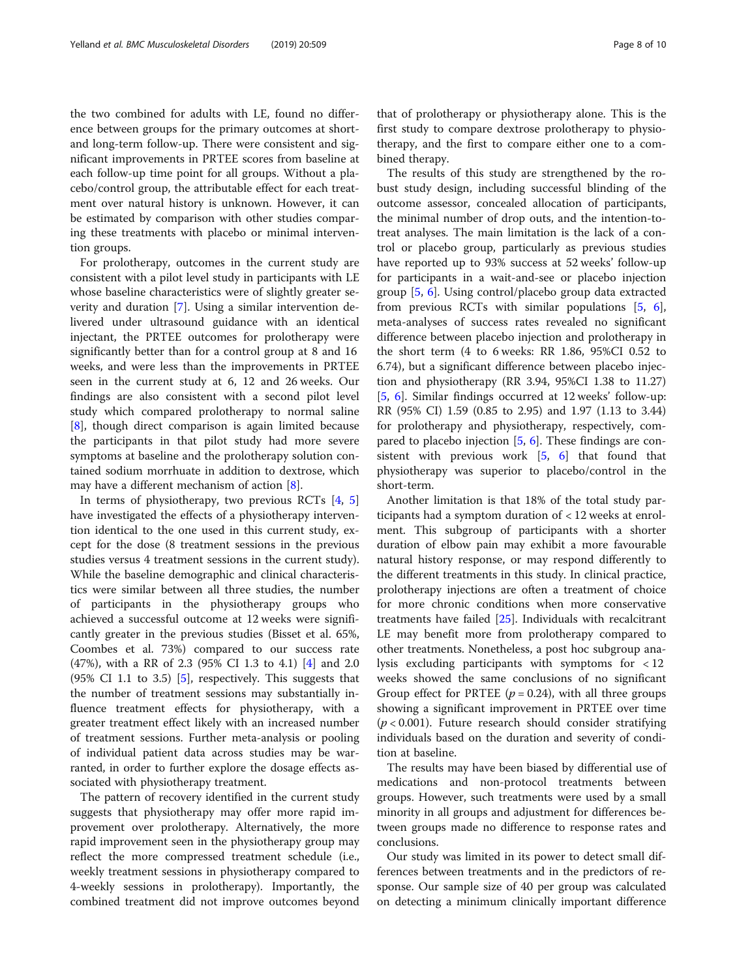the two combined for adults with LE, found no difference between groups for the primary outcomes at shortand long-term follow-up. There were consistent and significant improvements in PRTEE scores from baseline at each follow-up time point for all groups. Without a placebo/control group, the attributable effect for each treatment over natural history is unknown. However, it can be estimated by comparison with other studies comparing these treatments with placebo or minimal intervention groups.

For prolotherapy, outcomes in the current study are consistent with a pilot level study in participants with LE whose baseline characteristics were of slightly greater severity and duration [\[7](#page-9-0)]. Using a similar intervention delivered under ultrasound guidance with an identical injectant, the PRTEE outcomes for prolotherapy were significantly better than for a control group at 8 and 16 weeks, and were less than the improvements in PRTEE seen in the current study at 6, 12 and 26 weeks. Our findings are also consistent with a second pilot level study which compared prolotherapy to normal saline [[8\]](#page-9-0), though direct comparison is again limited because the participants in that pilot study had more severe symptoms at baseline and the prolotherapy solution contained sodium morrhuate in addition to dextrose, which may have a different mechanism of action [[8\]](#page-9-0).

In terms of physiotherapy, two previous RCTs [[4,](#page-8-0) [5](#page-8-0)] have investigated the effects of a physiotherapy intervention identical to the one used in this current study, except for the dose (8 treatment sessions in the previous studies versus 4 treatment sessions in the current study). While the baseline demographic and clinical characteristics were similar between all three studies, the number of participants in the physiotherapy groups who achieved a successful outcome at 12 weeks were significantly greater in the previous studies (Bisset et al. 65%, Coombes et al. 73%) compared to our success rate (47%), with a RR of 2.3 (95% CI 1.3 to 4.1) [[4\]](#page-8-0) and 2.0  $(95\% \text{ CI } 1.1 \text{ to } 3.5)$  [\[5\]](#page-8-0), respectively. This suggests that the number of treatment sessions may substantially influence treatment effects for physiotherapy, with a greater treatment effect likely with an increased number of treatment sessions. Further meta-analysis or pooling of individual patient data across studies may be warranted, in order to further explore the dosage effects associated with physiotherapy treatment.

The pattern of recovery identified in the current study suggests that physiotherapy may offer more rapid improvement over prolotherapy. Alternatively, the more rapid improvement seen in the physiotherapy group may reflect the more compressed treatment schedule (i.e., weekly treatment sessions in physiotherapy compared to 4-weekly sessions in prolotherapy). Importantly, the combined treatment did not improve outcomes beyond

that of prolotherapy or physiotherapy alone. This is the first study to compare dextrose prolotherapy to physiotherapy, and the first to compare either one to a combined therapy.

The results of this study are strengthened by the robust study design, including successful blinding of the outcome assessor, concealed allocation of participants, the minimal number of drop outs, and the intention-totreat analyses. The main limitation is the lack of a control or placebo group, particularly as previous studies have reported up to 93% success at 52 weeks' follow-up for participants in a wait-and-see or placebo injection group [\[5](#page-8-0), [6](#page-8-0)]. Using control/placebo group data extracted from previous RCTs with similar populations [\[5](#page-8-0), [6](#page-8-0)], meta-analyses of success rates revealed no significant difference between placebo injection and prolotherapy in the short term (4 to 6 weeks: RR 1.86, 95%CI 0.52 to 6.74), but a significant difference between placebo injection and physiotherapy (RR 3.94, 95%CI 1.38 to 11.27) [[5,](#page-8-0) [6\]](#page-8-0). Similar findings occurred at 12 weeks' follow-up: RR (95% CI) 1.59 (0.85 to 2.95) and 1.97 (1.13 to 3.44) for prolotherapy and physiotherapy, respectively, compared to placebo injection [[5,](#page-8-0) [6](#page-8-0)]. These findings are consistent with previous work  $\begin{bmatrix} 5 & 6 \end{bmatrix}$  that found that physiotherapy was superior to placebo/control in the short-term.

Another limitation is that 18% of the total study participants had a symptom duration of < 12 weeks at enrolment. This subgroup of participants with a shorter duration of elbow pain may exhibit a more favourable natural history response, or may respond differently to the different treatments in this study. In clinical practice, prolotherapy injections are often a treatment of choice for more chronic conditions when more conservative treatments have failed [\[25](#page-9-0)]. Individuals with recalcitrant LE may benefit more from prolotherapy compared to other treatments. Nonetheless, a post hoc subgroup analysis excluding participants with symptoms for < 12 weeks showed the same conclusions of no significant Group effect for PRTEE ( $p = 0.24$ ), with all three groups showing a significant improvement in PRTEE over time  $(p < 0.001)$ . Future research should consider stratifying individuals based on the duration and severity of condition at baseline.

The results may have been biased by differential use of medications and non-protocol treatments between groups. However, such treatments were used by a small minority in all groups and adjustment for differences between groups made no difference to response rates and conclusions.

Our study was limited in its power to detect small differences between treatments and in the predictors of response. Our sample size of 40 per group was calculated on detecting a minimum clinically important difference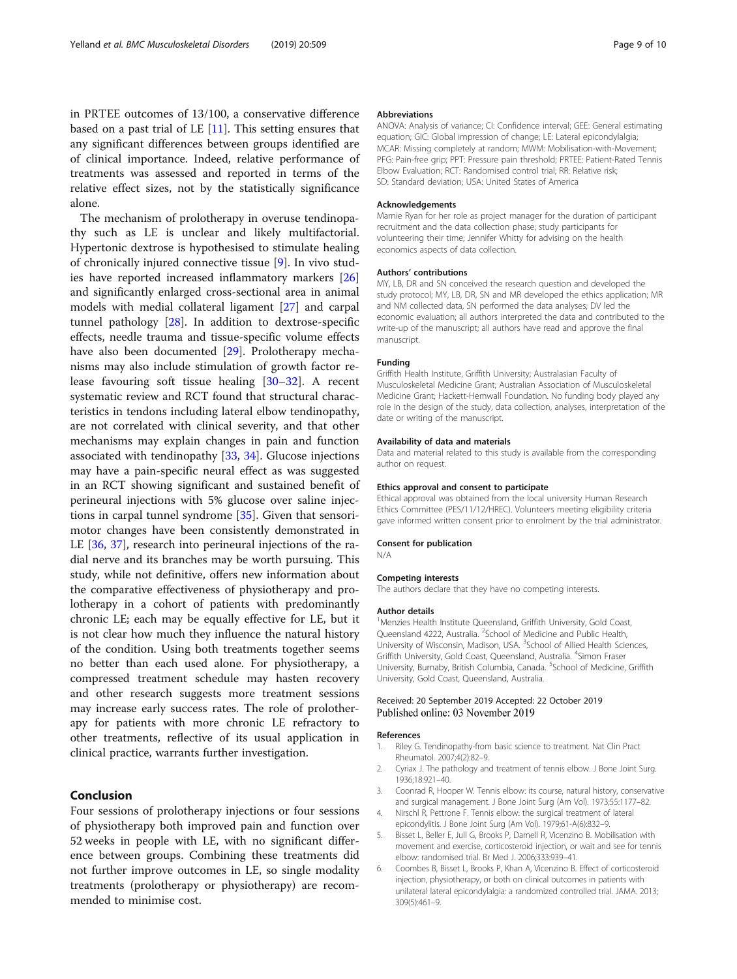## <span id="page-8-0"></span>in PRTEE outcomes of 13/100, a conservative difference based on a past trial of LE [[11\]](#page-9-0). This setting ensures that any significant differences between groups identified are of clinical importance. Indeed, relative performance of treatments was assessed and reported in terms of the relative effect sizes, not by the statistically significance alone.

The mechanism of prolotherapy in overuse tendinopathy such as LE is unclear and likely multifactorial. Hypertonic dextrose is hypothesised to stimulate healing of chronically injured connective tissue [\[9](#page-9-0)]. In vivo studies have reported increased inflammatory markers [[26](#page-9-0)] and significantly enlarged cross-sectional area in animal models with medial collateral ligament [\[27\]](#page-9-0) and carpal tunnel pathology [\[28](#page-9-0)]. In addition to dextrose-specific effects, needle trauma and tissue-specific volume effects have also been documented [\[29](#page-9-0)]. Prolotherapy mechanisms may also include stimulation of growth factor release favouring soft tissue healing [\[30](#page-9-0)–[32\]](#page-9-0). A recent systematic review and RCT found that structural characteristics in tendons including lateral elbow tendinopathy, are not correlated with clinical severity, and that other mechanisms may explain changes in pain and function associated with tendinopathy [\[33,](#page-9-0) [34\]](#page-9-0). Glucose injections may have a pain-specific neural effect as was suggested in an RCT showing significant and sustained benefit of perineural injections with 5% glucose over saline injections in carpal tunnel syndrome [[35\]](#page-9-0). Given that sensorimotor changes have been consistently demonstrated in LE [\[36,](#page-9-0) [37](#page-9-0)], research into perineural injections of the radial nerve and its branches may be worth pursuing. This study, while not definitive, offers new information about the comparative effectiveness of physiotherapy and prolotherapy in a cohort of patients with predominantly chronic LE; each may be equally effective for LE, but it is not clear how much they influence the natural history of the condition. Using both treatments together seems no better than each used alone. For physiotherapy, a compressed treatment schedule may hasten recovery and other research suggests more treatment sessions may increase early success rates. The role of prolotherapy for patients with more chronic LE refractory to other treatments, reflective of its usual application in clinical practice, warrants further investigation.

## Conclusion

Four sessions of prolotherapy injections or four sessions of physiotherapy both improved pain and function over 52 weeks in people with LE, with no significant difference between groups. Combining these treatments did not further improve outcomes in LE, so single modality treatments (prolotherapy or physiotherapy) are recommended to minimise cost.

#### Abbreviations

ANOVA: Analysis of variance; CI: Confidence interval; GEE: General estimating equation; GIC: Global impression of change; LE: Lateral epicondylalgia; MCAR: Missing completely at random; MWM: Mobilisation-with-Movement; PFG: Pain-free grip; PPT: Pressure pain threshold; PRTEE: Patient-Rated Tennis Elbow Evaluation; RCT: Randomised control trial; RR: Relative risk; SD: Standard deviation; USA: United States of America

#### Acknowledgements

Marnie Ryan for her role as project manager for the duration of participant recruitment and the data collection phase; study participants for volunteering their time; Jennifer Whitty for advising on the health economics aspects of data collection.

#### Authors' contributions

MY, LB, DR and SN conceived the research question and developed the study protocol; MY, LB, DR, SN and MR developed the ethics application; MR and NM collected data, SN performed the data analyses; DV led the economic evaluation; all authors interpreted the data and contributed to the write-up of the manuscript; all authors have read and approve the final manuscript.

#### Funding

Griffith Health Institute, Griffith University; Australasian Faculty of Musculoskeletal Medicine Grant; Australian Association of Musculoskeletal Medicine Grant; Hackett-Hemwall Foundation. No funding body played any role in the design of the study, data collection, analyses, interpretation of the date or writing of the manuscript.

#### Availability of data and materials

Data and material related to this study is available from the corresponding author on request.

#### Ethics approval and consent to participate

Ethical approval was obtained from the local university Human Research Ethics Committee (PES/11/12/HREC). Volunteers meeting eligibility criteria gave informed written consent prior to enrolment by the trial administrator.

#### Consent for publication

N/A

#### Competing interests

The authors declare that they have no competing interests.

#### Author details

<sup>1</sup>Menzies Health Institute Queensland, Griffith University, Gold Coast Queensland 4222, Australia. <sup>2</sup>School of Medicine and Public Health University of Wisconsin, Madison, USA. <sup>3</sup>School of Allied Health Sciences, Griffith University, Gold Coast, Queensland, Australia. <sup>4</sup>Simon Fraser University, Burnaby, British Columbia, Canada. <sup>5</sup>School of Medicine, Griffith University, Gold Coast, Queensland, Australia.

## Received: 20 September 2019 Accepted: 22 October 2019 Published online: 03 November 2019

#### References

- 1. Riley G. Tendinopathy-from basic science to treatment. Nat Clin Pract Rheumatol. 2007;4(2):82–9.
- 2. Cyriax J. The pathology and treatment of tennis elbow. J Bone Joint Surg. 1936;18:921–40.
- 3. Coonrad R, Hooper W. Tennis elbow: its course, natural history, conservative and surgical management. J Bone Joint Surg (Am Vol). 1973;55:1177–82.
- 4. Nirschl R, Pettrone F. Tennis elbow: the surgical treatment of lateral epicondylitis. J Bone Joint Surg (Am Vol). 1979;61-A(6):832–9.
- 5. Bisset L, Beller E, Jull G, Brooks P, Darnell R, Vicenzino B. Mobilisation with movement and exercise, corticosteroid injection, or wait and see for tennis elbow: randomised trial. Br Med J. 2006;333:939–41.
- 6. Coombes B, Bisset L, Brooks P, Khan A, Vicenzino B. Effect of corticosteroid injection, physiotherapy, or both on clinical outcomes in patients with unilateral lateral epicondylalgia: a randomized controlled trial. JAMA. 2013; 309(5):461–9.